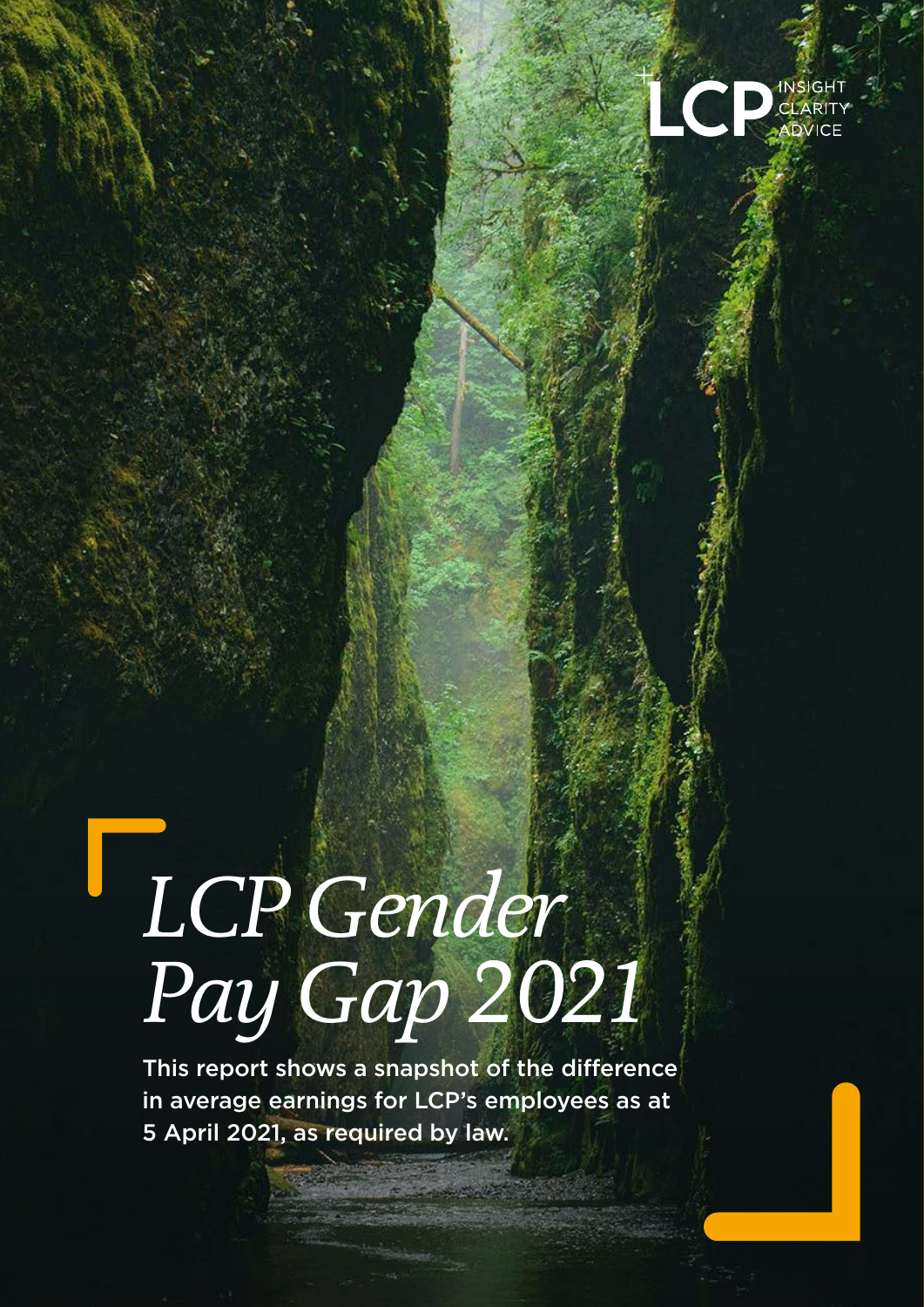

# *LCP Gender Pay Gap 2021*

This report shows a snapshot of the difference in average earnings for LCP's employees as at 5 April 2021, as required by law.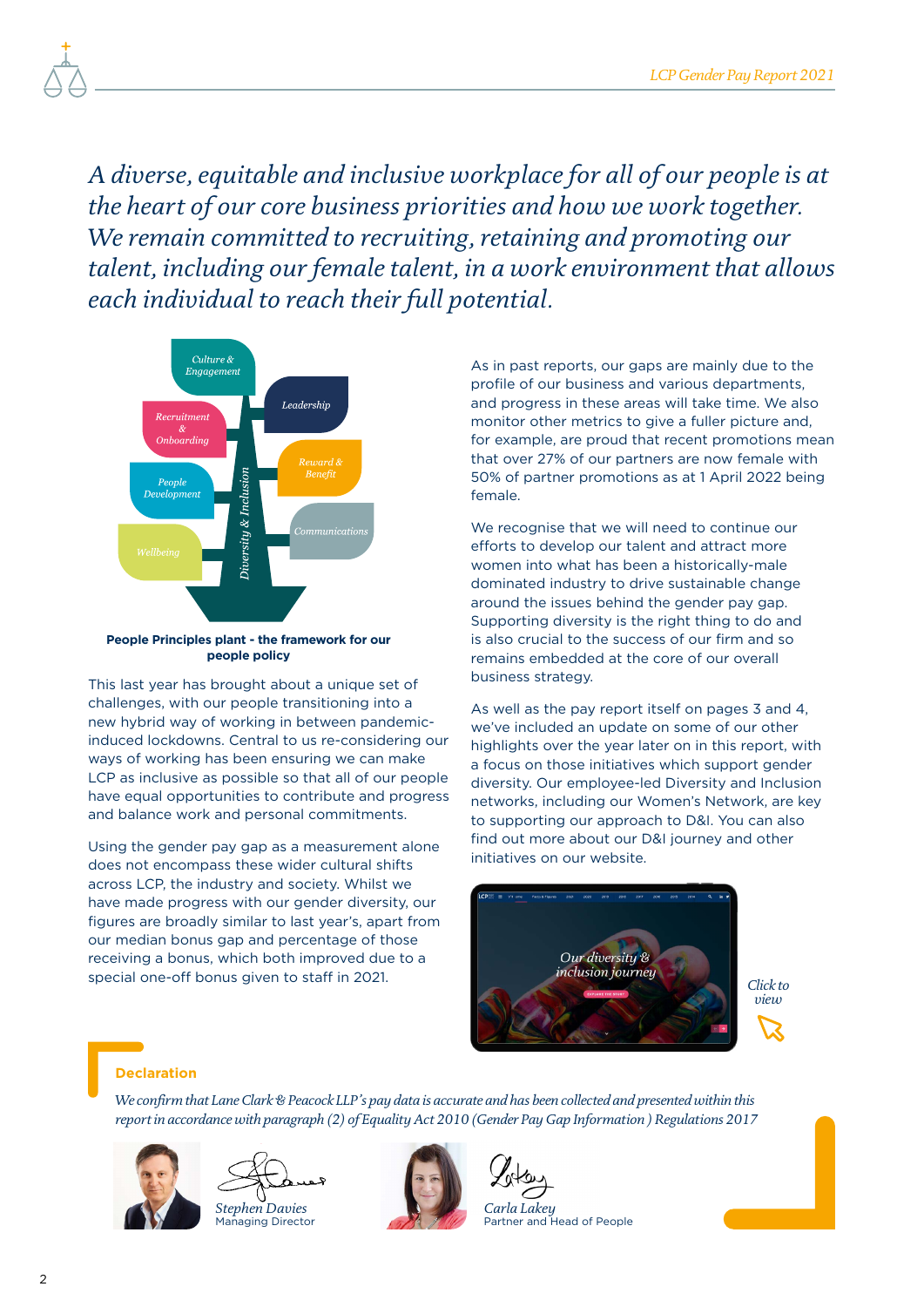*A diverse, equitable and inclusive workplace for all of our people is at the heart of our core business priorities and how we work together. We remain committed to recruiting, retaining and promoting our talent, including our female talent, in a work environment that allows each individual to reach their full potential.*



#### **People Principles plant - the framework for our people policy**

This last year has brought about a unique set of challenges, with our people transitioning into a new hybrid way of working in between pandemicinduced lockdowns. Central to us re-considering our ways of working has been ensuring we can make LCP as inclusive as possible so that all of our people have equal opportunities to contribute and progress and balance work and personal commitments.

Using the gender pay gap as a measurement alone does not encompass these wider cultural shifts across LCP, the industry and society. Whilst we have made progress with our gender diversity, our figures are broadly similar to last year's, apart from our median bonus gap and percentage of those receiving a bonus, which both improved due to a special one-off bonus given to staff in 2021.

As in past reports, our gaps are mainly due to the profile of our business and various departments, and progress in these areas will take time. We also monitor other metrics to give a fuller picture and, for example, are proud that recent promotions mean that over 27% of our partners are now female with 50% of partner promotions as at 1 April 2022 being female.

We recognise that we will need to continue our efforts to develop our talent and attract more women into what has been a historically-male dominated industry to drive sustainable change around the issues behind the gender pay gap. Supporting diversity is the right thing to do and is also crucial to the success of our firm and so remains embedded at the core of our overall business strategy.

As well as the pay report itself on pages 3 and 4, we've included an update on some of our other highlights over the year later on in this report, with a focus on those initiatives which support gender diversity. Our employee-led Diversity and Inclusion networks, including our Women's Network, are key to supporting our approach to D&I. You can also find out more about our D&I journey and other initiatives on our website.



#### **Declaration**

*We confirm that Lane Clark & Peacock LLP's pay data is accurate and has been collected and presented within this report in accordance with paragraph (2) of Equality Act 2010 (Gender Pay Gap Information ) Regulations 2017*





Managing Director



*Carla Lakey* Partner and Head of People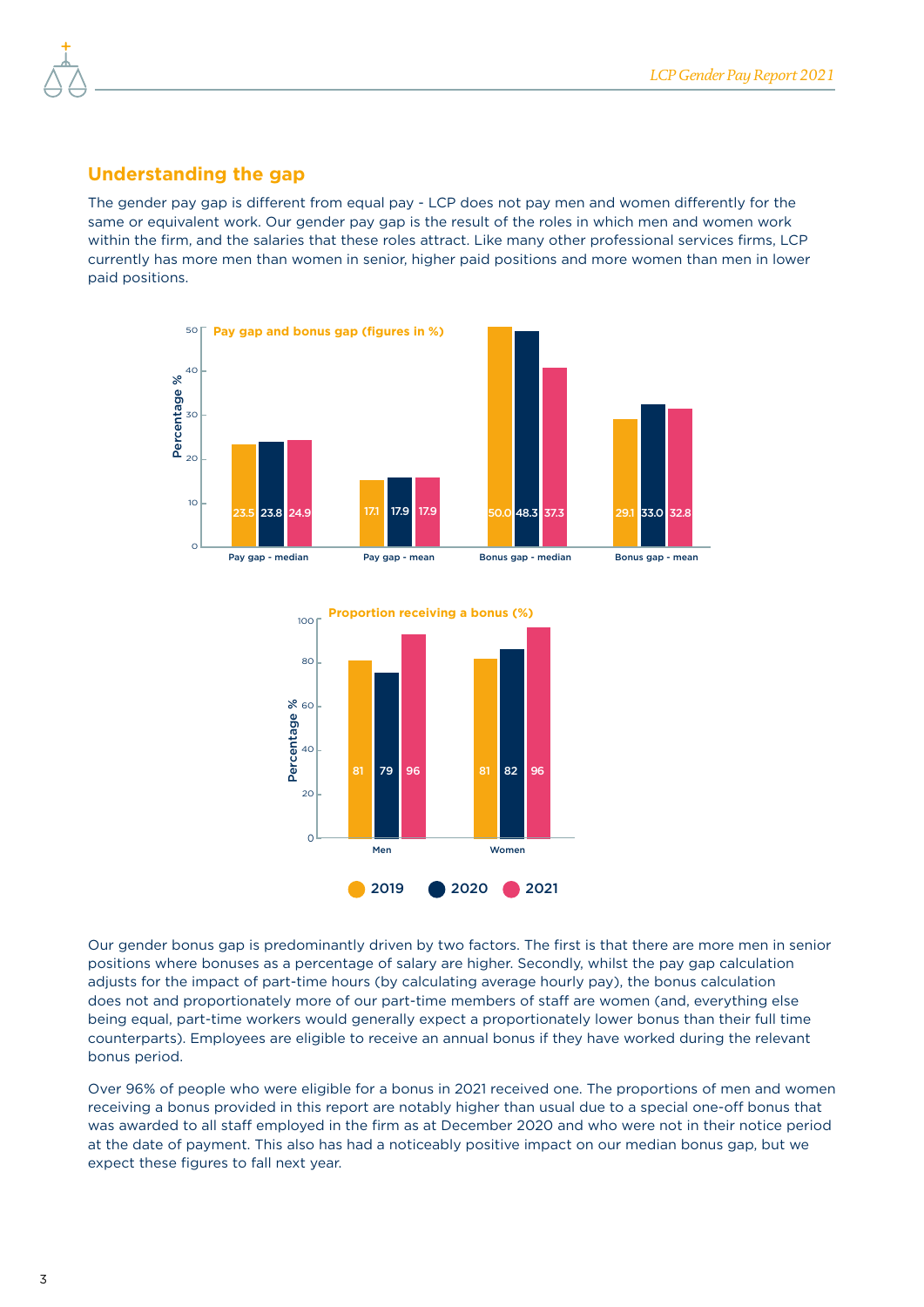#### **Understanding the gap**

The gender pay gap is different from equal pay - LCP does not pay men and women differently for the same or equivalent work. Our gender pay gap is the result of the roles in which men and women work within the firm, and the salaries that these roles attract. Like many other professional services firms, LCP currently has more men than women in senior, higher paid positions and more women than men in lower paid positions.





Our gender bonus gap is predominantly driven by two factors. The first is that there are more men in senior positions where bonuses as a percentage of salary are higher. Secondly, whilst the pay gap calculation adjusts for the impact of part-time hours (by calculating average hourly pay), the bonus calculation does not and proportionately more of our part-time members of staff are women (and, everything else being equal, part-time workers would generally expect a proportionately lower bonus than their full time counterparts). Employees are eligible to receive an annual bonus if they have worked during the relevant bonus period.

Over 96% of people who were eligible for a bonus in 2021 received one. The proportions of men and women receiving a bonus provided in this report are notably higher than usual due to a special one-off bonus that was awarded to all staff employed in the firm as at December 2020 and who were not in their notice period at the date of payment. This also has had a noticeably positive impact on our median bonus gap, but we expect these figures to fall next year.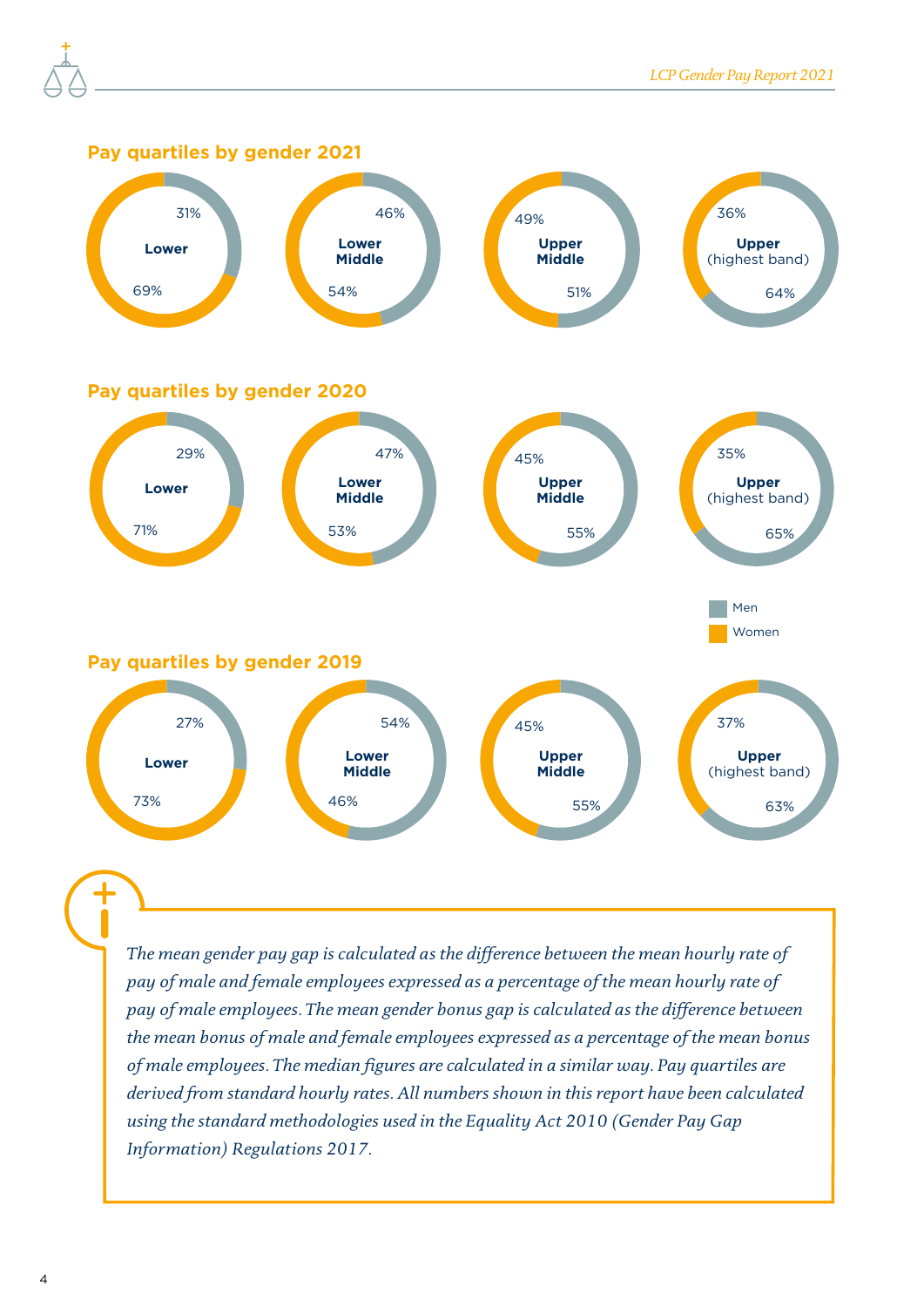

*The mean gender pay gap is calculated as the difference between the mean hourly rate of pay of male and female employees expressed as a percentage of the mean hourly rate of pay of male employees. The mean gender bonus gap is calculated as the difference between the mean bonus of male and female employees expressed as a percentage of the mean bonus of male employees. The median figures are calculated in a similar way. Pay quartiles are derived from standard hourly rates. All numbers shown in this report have been calculated using the standard methodologies used in the Equality Act 2010 (Gender Pay Gap Information) Regulations 2017.*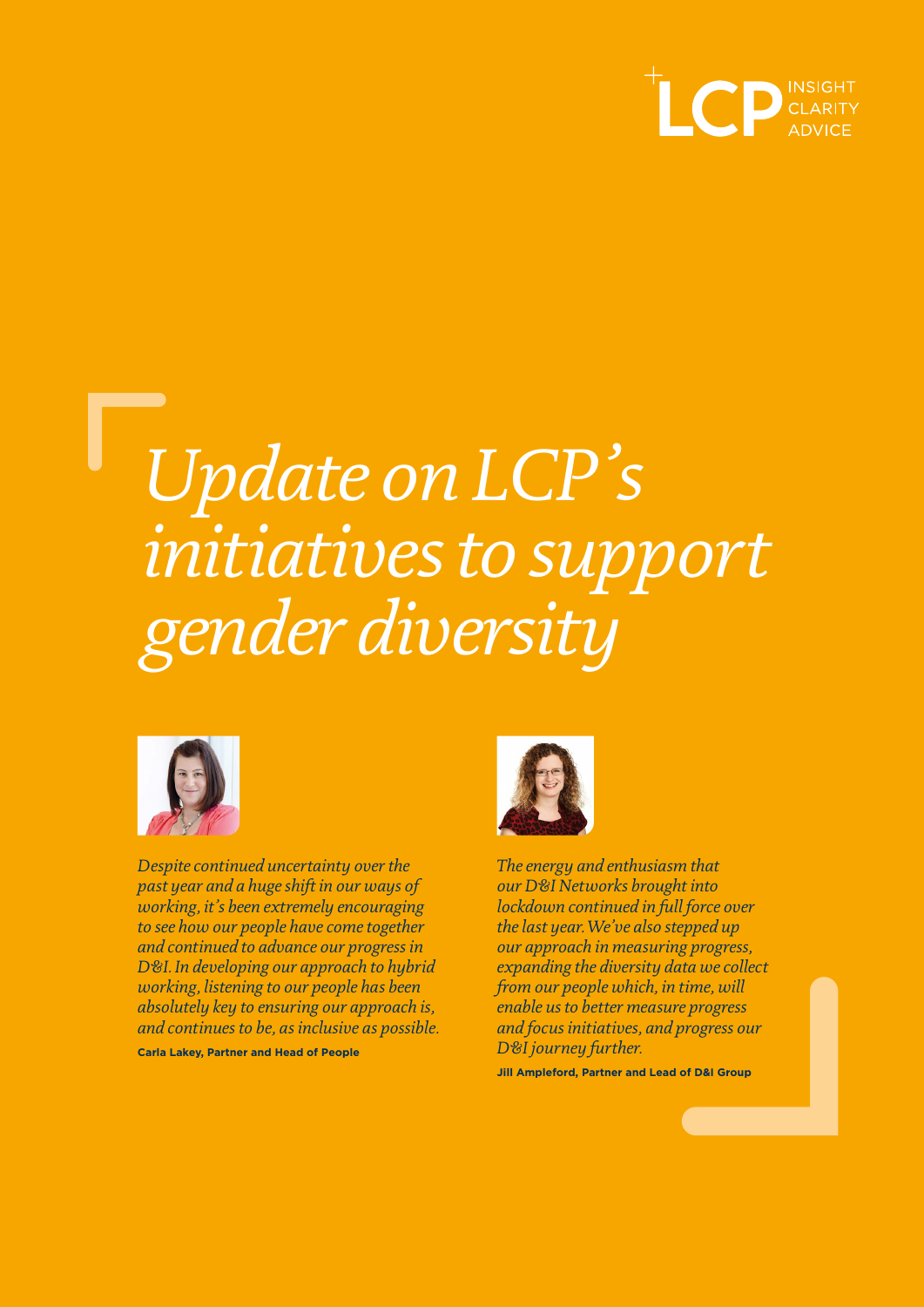

## *Update on LCP's initiatives to support gender diversity*



*Despite continued uncertainty over the past year and a huge shift in our ways of working, it's been extremely encouraging to see how our people have come together and continued to advance our progress in D&I. In developing our approach to hybrid working, listening to our people has been absolutely key to ensuring our approach is, and continues to be, as inclusive as possible.* 

**Carla Lakey, Partner and Head of People**



*The energy and enthusiasm that our D&I Networks brought into lockdown continued in full force over the last year. We've also stepped up our approach in measuring progress, expanding the diversity data we collect from our people which, in time, will enable us to better measure progress and focus initiatives, and progress our D&I journey further.* 

**Jill Ampleford, Partner and Lead of D&I Group**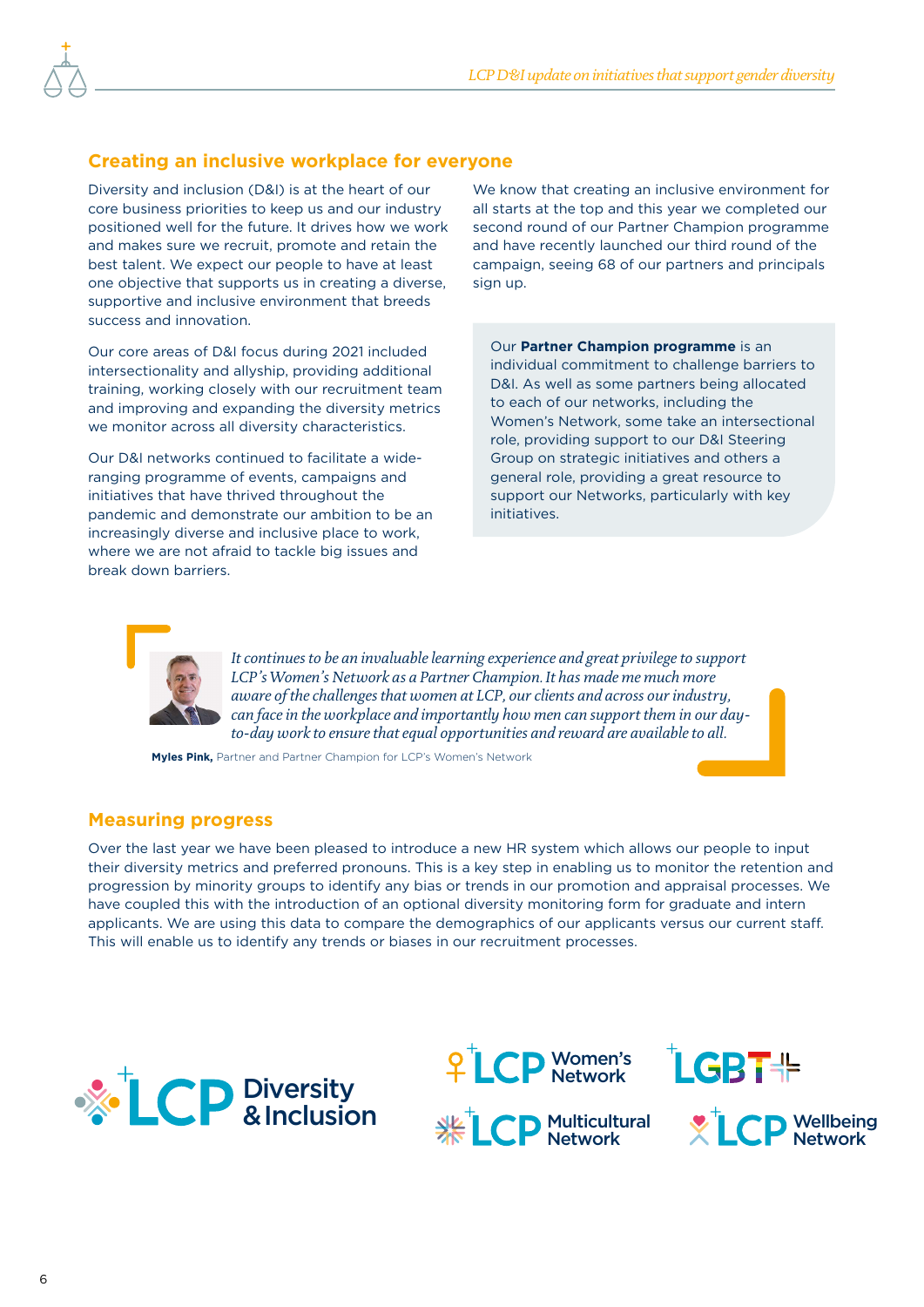#### **Creating an inclusive workplace for everyone**

Diversity and inclusion (D&I) is at the heart of our core business priorities to keep us and our industry positioned well for the future. It drives how we work and makes sure we recruit, promote and retain the best talent. We expect our people to have at least one objective that supports us in creating a diverse, supportive and inclusive environment that breeds success and innovation.

Our core areas of D&I focus during 2021 included intersectionality and allyship, providing additional training, working closely with our recruitment team and improving and expanding the diversity metrics we monitor across all diversity characteristics.

Our D&I networks continued to facilitate a wideranging programme of events, campaigns and initiatives that have thrived throughout the pandemic and demonstrate our ambition to be an increasingly diverse and inclusive place to work, where we are not afraid to tackle big issues and break down barriers.

We know that creating an inclusive environment for all starts at the top and this year we completed our second round of our Partner Champion programme and have recently launched our third round of the campaign, seeing 68 of our partners and principals sign up.

Our **Partner Champion programme** is an individual commitment to challenge barriers to D&I. As well as some partners being allocated to each of our networks, including the Women's Network, some take an intersectional role, providing support to our D&I Steering Group on strategic initiatives and others a general role, providing a great resource to support our Networks, particularly with key initiatives.



*It continues to be an invaluable learning experience and great privilege to support LCP's Women's Network as a Partner Champion. It has made me much more aware of the challenges that women at LCP, our clients and across our industry, can face in the workplace and importantly how men can support them in our dayto-day work to ensure that equal opportunities and reward are available to all.*

**Myles Pink,** Partner and Partner Champion for LCP's Women's Network

#### **Measuring progress**

Over the last year we have been pleased to introduce a new HR system which allows our people to input their diversity metrics and preferred pronouns. This is a key step in enabling us to monitor the retention and progression by minority groups to identify any bias or trends in our promotion and appraisal processes. We have coupled this with the introduction of an optional diversity monitoring form for graduate and intern applicants. We are using this data to compare the demographics of our applicants versus our current staff. This will enable us to identify any trends or biases in our recruitment processes.





Multicultural Network



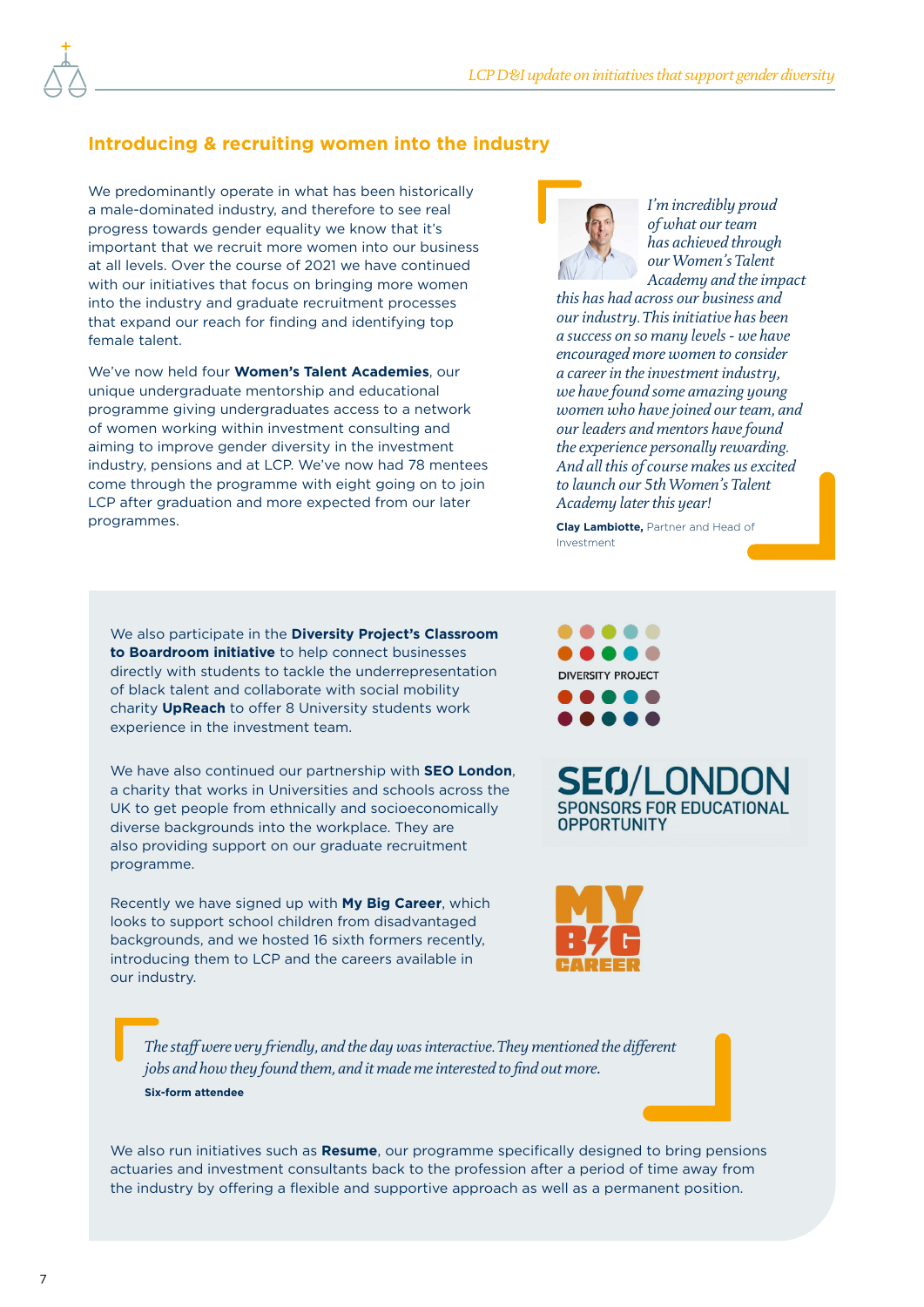#### **Introducing & recruiting women into the industry**

We predominantly operate in what has been historically a male-dominated industry, and therefore to see real progress towards gender equality we know that it's important that we recruit more women into our business at all levels. Over the course of 2021 we have continued with our initiatives that focus on bringing more women into the industry and graduate recruitment processes that expand our reach for finding and identifying top female talent.

We've now held four **Women's Talent Academies**, our unique undergraduate mentorship and educational programme giving undergraduates access to a network of women working within investment consulting and aiming to improve gender diversity in the investment industry, pensions and at LCP. We've now had 78 mentees come through the programme with eight going on to join LCP after graduation and more expected from our later programmes.



*I'm incredibly proud of what our team has achieved through our Women's Talent Academy and the impact* 

*this has had across our business and our industry. This initiative has been a success on so many levels - we have encouraged more women to consider a career in the investment industry, we have found some amazing young women who have joined our team, and our leaders and mentors have found the experience personally rewarding. And all this of course makes us excited to launch our 5th Women's Talent Academy later this year!*

**Clay Lambiotte,** Partner and Head of Investment

We also participate in the **Diversity Project's Classroom to Boardroom initiative** to help connect businesses directly with students to tackle the underrepresentation of black talent and collaborate with social mobility charity **UpReach** to offer 8 University students work experience in the investment team.

We have also continued our partnership with **SEO London**, a charity that works in Universities and schools across the UK to get people from ethnically and socioeconomically diverse backgrounds into the workplace. They are also providing support on our graduate recruitment programme.

Recently we have signed up with **My Big Career**, which looks to support school children from disadvantaged backgrounds, and we hosted 16 sixth formers recently, introducing them to LCP and the careers available in our industry.



**SEO/LONDO SPONSORS FOR EDUCATIONAL OPPORTUNITY** 



*The staff were very friendly, and the day was interactive. They mentioned the different jobs and how they found them, and it made me interested to find out more.* **Six-form attendee**

We also run initiatives such as **Resume**, our programme specifically designed to bring pensions actuaries and investment consultants back to the profession after a period of time away from the industry by offering a flexible and supportive approach as well as a permanent position.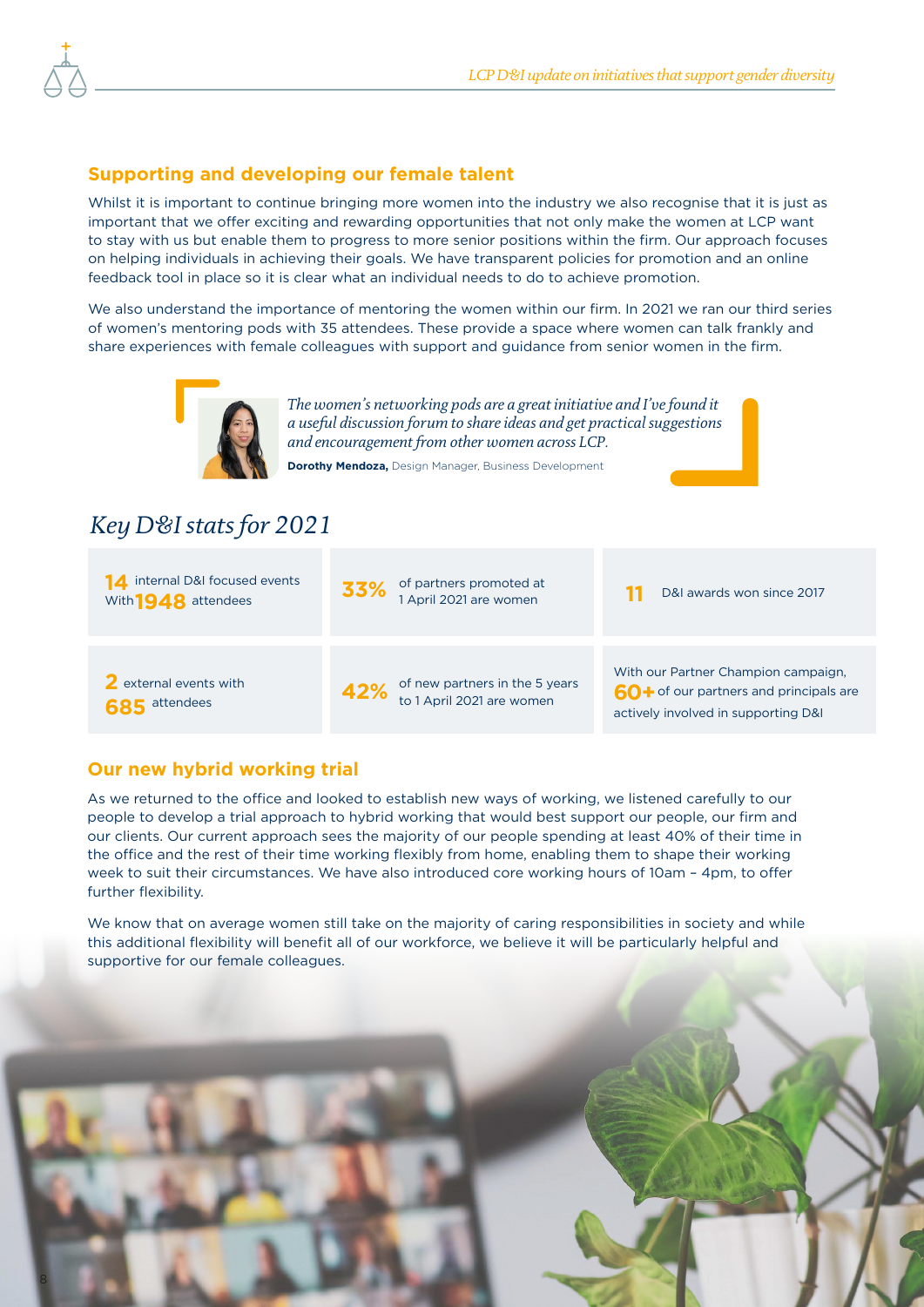#### **Supporting and developing our female talent**

Whilst it is important to continue bringing more women into the industry we also recognise that it is just as important that we offer exciting and rewarding opportunities that not only make the women at LCP want to stay with us but enable them to progress to more senior positions within the firm. Our approach focuses on helping individuals in achieving their goals. We have transparent policies for promotion and an online feedback tool in place so it is clear what an individual needs to do to achieve promotion.

We also understand the importance of mentoring the women within our firm. In 2021 we ran our third series of women's mentoring pods with 35 attendees. These provide a space where women can talk frankly and share experiences with female colleagues with support and guidance from senior women in the firm.



*The women's networking pods are a great initiative and I've found it a useful discussion forum to share ideas and get practical suggestions and encouragement from other women across LCP.*

**Dorothy Mendoza,** Design Manager, Business Development

#### *Key D&I stats for 2021*



#### **Our new hybrid working trial**

As we returned to the office and looked to establish new ways of working, we listened carefully to our people to develop a trial approach to hybrid working that would best support our people, our firm and our clients. Our current approach sees the majority of our people spending at least 40% of their time in the office and the rest of their time working flexibly from home, enabling them to shape their working week to suit their circumstances. We have also introduced core working hours of 10am – 4pm, to offer further flexibility.

We know that on average women still take on the majority of caring responsibilities in society and while this additional flexibility will benefit all of our workforce, we believe it will be particularly helpful and supportive for our female colleagues.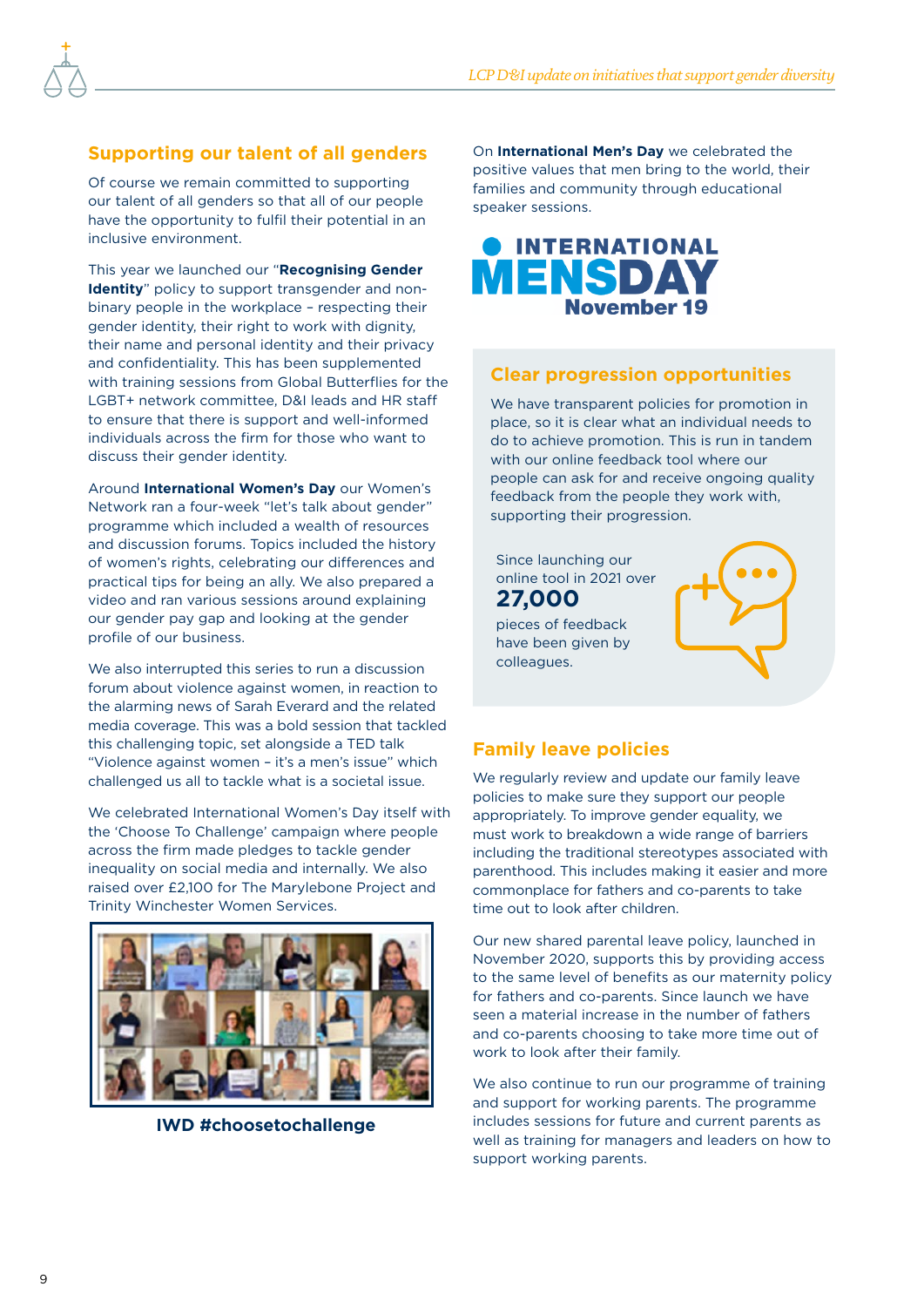#### **Supporting our talent of all genders**

Of course we remain committed to supporting our talent of all genders so that all of our people have the opportunity to fulfil their potential in an inclusive environment.

This year we launched our "**Recognising Gender Identity**" policy to support transgender and nonbinary people in the workplace – respecting their gender identity, their right to work with dignity, their name and personal identity and their privacy and confidentiality. This has been supplemented with training sessions from Global Butterflies for the LGBT+ network committee, D&I leads and HR staff to ensure that there is support and well-informed individuals across the firm for those who want to discuss their gender identity.

Around **International Women's Day** our Women's Network ran a four-week "let's talk about gender" programme which included a wealth of resources and discussion forums. Topics included the history of women's rights, celebrating our differences and practical tips for being an ally. We also prepared a video and ran various sessions around explaining our gender pay gap and looking at the gender profile of our business.

We also interrupted this series to run a discussion forum about violence against women, in reaction to the alarming news of Sarah Everard and the related media coverage. This was a bold session that tackled this challenging topic, set alongside a TED talk "Violence against women – it's a men's issue" which challenged us all to tackle what is a societal issue.

We celebrated International Women's Day itself with the 'Choose To Challenge' campaign where people across the firm made pledges to tackle gender inequality on social media and internally. We also raised over £2,100 for The Marylebone Project and Trinity Winchester Women Services.



**IWD #choosetochallenge**

On **International Men's Day** we celebrated the positive values that men bring to the world, their families and community through educational speaker sessions.



#### **Clear progression opportunities**

We have transparent policies for promotion in place, so it is clear what an individual needs to do to achieve promotion. This is run in tandem with our online feedback tool where our people can ask for and receive ongoing quality feedback from the people they work with, supporting their progression.





### **Family leave policies**

colleagues.

We regularly review and update our family leave policies to make sure they support our people appropriately. To improve gender equality, we must work to breakdown a wide range of barriers including the traditional stereotypes associated with parenthood. This includes making it easier and more commonplace for fathers and co-parents to take time out to look after children.

Our new shared parental leave policy, launched in November 2020, supports this by providing access to the same level of benefits as our maternity policy for fathers and co-parents. Since launch we have seen a material increase in the number of fathers and co-parents choosing to take more time out of work to look after their family.

We also continue to run our programme of training and support for working parents. The programme includes sessions for future and current parents as well as training for managers and leaders on how to support working parents.